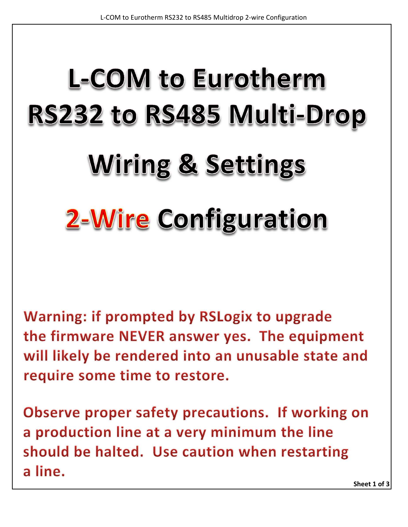## **L-COM to Eurotherm** RS232 to RS485 Multi-Drop **Wiring & Settings 2-Wire Configuration**

Warning: if prompted by RSLogix to upgrade the firmware NEVER answer yes. The equipment will likely be rendered into an unusable state and require some time to restore.

Observe proper safety precautions. If working on a production line at a very minimum the line should be halted. Use caution when restarting a line.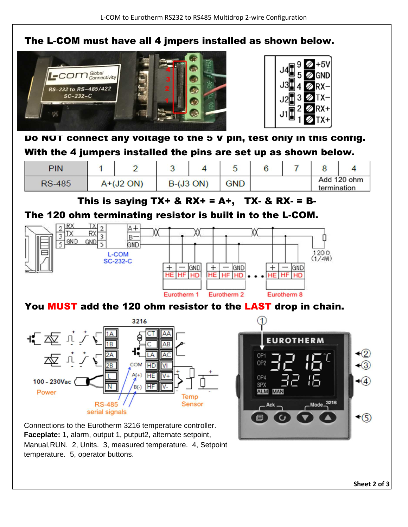